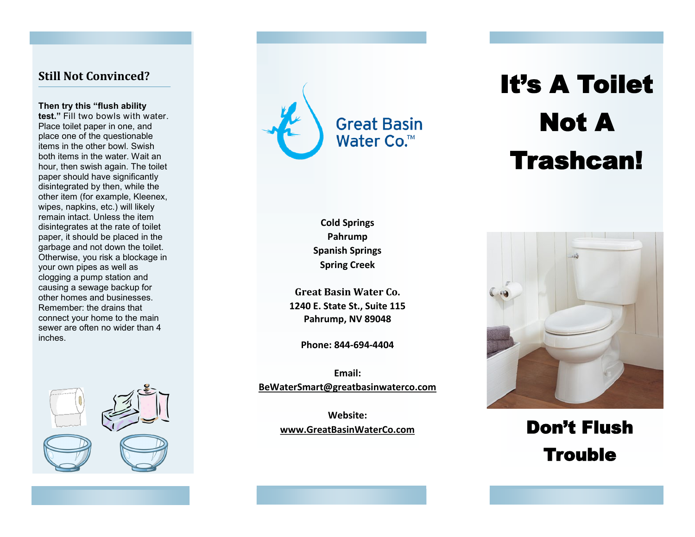### **Still Not Convinced?**

**Then try this "flush ability test."** Fill two bowls with water. Place toilet paper in one, and place one of the questionable items in the other bowl. Swish both items in the water. Wait an hour, then swish again. The toilet paper should have significantly disintegrated by then, while the other item (for example, Kleenex, wipes, napkins, etc.) will likely remain intact. Unless the item disintegrates at the rate of toilet paper, it should be placed in the garbage and not down the toilet. Otherwise, you risk a blockage in your own pipes as well as clogging a pump station and causing a sewage backup for other homes and businesses. Remember: the drains that connect your home to the main sewer are often no wider than 4 inches.



**Cold Springs Pahrump Spanish Springs Spring Creek**

**Great Basin Water Co. 1240 E. State St., Suite 115 Pahrump, NV 89048**

**Phone: 844-694-4404**

**Email: BeWaterSmart@greatbasinwaterco.com** 

> **Website: www.GreatBasinWaterCo.com**

# It's A Toilet Not A Trashcan!



## Don't Flush **Trouble**